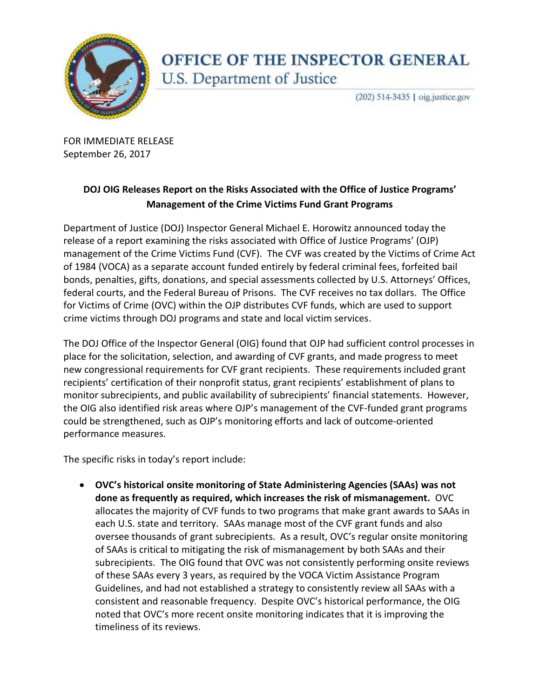

## OFFICE OF THE INSPECTOR GENERAL U.S. Department of Justice

(202) 514-3435 | oig.justice.gov

 FOR IMMEDIATE RELEASE September 26, 2017

## **DOJ OIG Releases Report on the Risks Associated with the Office of Justice Programs' Management of the Crime Victims Fund Grant Programs**

 Department of Justice (DOJ) Inspector General Michael E. Horowitz announced today the release of a report examining the risks associated with Office of Justice Programs' (OJP) management of the Crime Victims Fund (CVF). The CVF was created by the Victims of Crime Act of 1984 (VOCA) as a separate account funded entirely by federal criminal fees, forfeited bail bonds, penalties, gifts, donations, and special assessments collected by U.S. Attorneys' Offices, federal courts, and the Federal Bureau of Prisons. The CVF receives no tax dollars. The Office for Victims of Crime (OVC) within the OJP distributes CVF funds, which are used to support crime victims through DOJ programs and state and local victim services.

 The DOJ Office of the Inspector General (OIG) found that OJP had sufficient control processes in place for the solicitation, selection, and awarding of CVF grants, and made progress to meet new congressional requirements for CVF grant recipients. These requirements included grant recipients' certification of their nonprofit status, grant recipients' establishment of plans to monitor subrecipients, and public availability of subrecipients' financial statements. However, the OIG also identified risk areas where OJP's management of the CVF-funded grant programs could be strengthened, such as OJP's monitoring efforts and lack of outcome-oriented performance measures.

The specific risks in today's report include:

 **OVC's historical onsite monitoring of State Administering Agencies (SAAs) was not done as frequently as required, which increases the risk of mismanagement.** OVC allocates the majority of CVF funds to two programs that make grant awards to SAAs in each U.S. state and territory. SAAs manage most of the CVF grant funds and also oversee thousands of grant subrecipients. As a result, OVC's regular onsite monitoring of SAAs is critical to mitigating the risk of mismanagement by both SAAs and their subrecipients. The OIG found that OVC was not consistently performing onsite reviews of these SAAs every 3 years, as required by the VOCA Victim Assistance Program Guidelines, and had not established a strategy to consistently review all SAAs with a consistent and reasonable frequency. Despite OVC's historical performance, the OIG noted that OVC's more recent onsite monitoring indicates that it is improving the timeliness of its reviews.